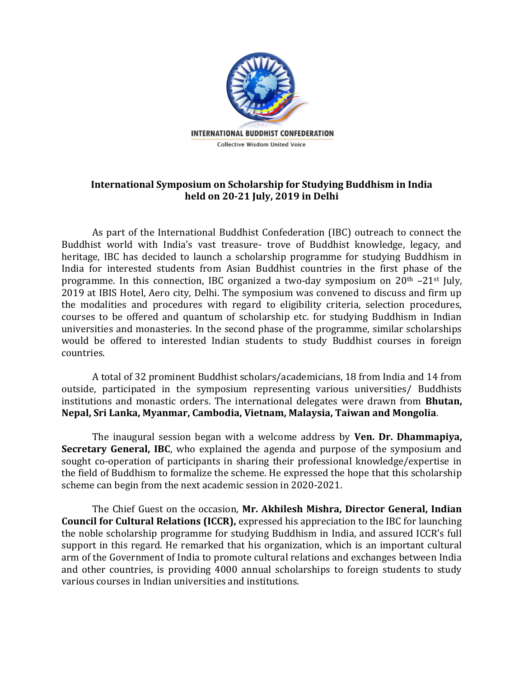

## **International Symposium on Scholarship for Studying Buddhism in India held on 20-21 July, 2019 in Delhi**

As part of the International Buddhist Confederation (IBC) outreach to connect the Buddhist world with India's vast treasure- trove of Buddhist knowledge, legacy, and heritage, IBC has decided to launch a scholarship programme for studying Buddhism in India for interested students from Asian Buddhist countries in the first phase of the programme. In this connection, IBC organized a two-day symposium on  $20<sup>th</sup> -21<sup>st</sup>$  July, 2019 at IBIS Hotel, Aero city, Delhi. The symposium was convened to discuss and firm up the modalities and procedures with regard to eligibility criteria, selection procedures, courses to be offered and quantum of scholarship etc. for studying Buddhism in Indian universities and monasteries. In the second phase of the programme, similar scholarships would be offered to interested Indian students to study Buddhist courses in foreign countries.

A total of 32 prominent Buddhist scholars/academicians, 18 from India and 14 from outside, participated in the symposium representing various universities/ Buddhists institutions and monastic orders. The international delegates were drawn from **Bhutan, Nepal, Sri Lanka, Myanmar, Cambodia, Vietnam, Malaysia, Taiwan and Mongolia**.

The inaugural session began with a welcome address by **Ven. Dr. Dhammapiya, Secretary General, IBC**, who explained the agenda and purpose of the symposium and sought co-operation of participants in sharing their professional knowledge/expertise in the field of Buddhism to formalize the scheme. He expressed the hope that this scholarship scheme can begin from the next academic session in 2020-2021.

The Chief Guest on the occasion, **Mr. Akhilesh Mishra, Director General, Indian Council for Cultural Relations (ICCR),** expressed his appreciation to the IBC for launching the noble scholarship programme for studying Buddhism in India, and assured ICCR's full support in this regard. He remarked that his organization, which is an important cultural arm of the Government of India to promote cultural relations and exchanges between India and other countries, is providing 4000 annual scholarships to foreign students to study various courses in Indian universities and institutions.